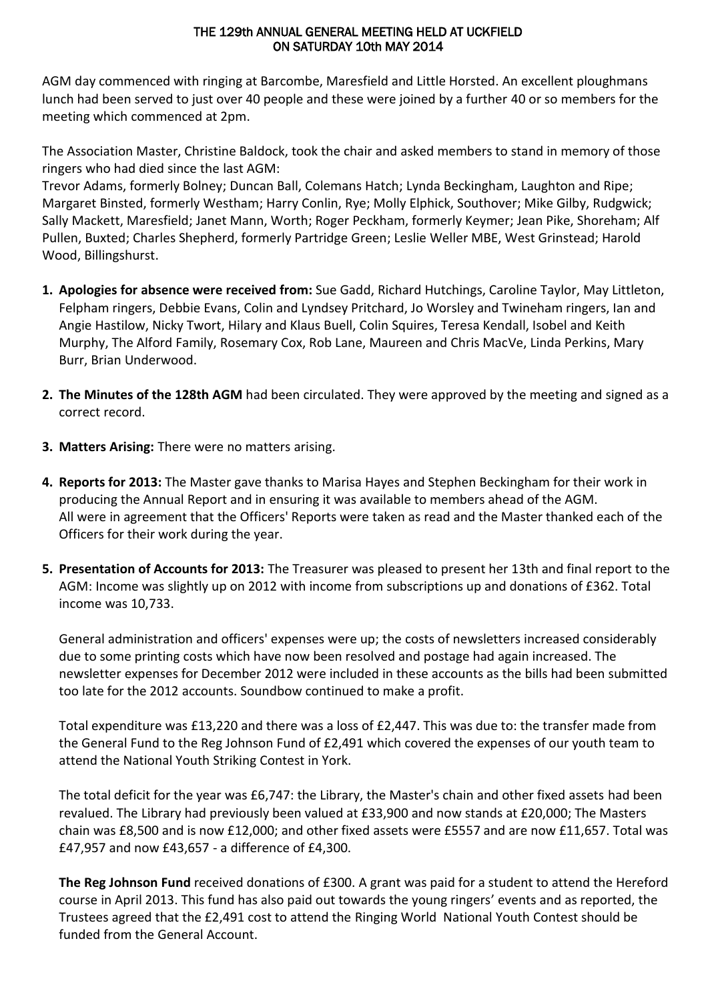#### THE 129th ANNUAL GENERAL MEETING HELD AT UCKFIELD ON SATURDAY 10th MAY 2014

AGM day commenced with ringing at Barcombe, Maresfield and Little Horsted. An excellent ploughmans lunch had been served to just over 40 people and these were joined by a further 40 or so members for the meeting which commenced at 2pm.

The Association Master, Christine Baldock, took the chair and asked members to stand in memory of those ringers who had died since the last AGM:

Trevor Adams, formerly Bolney; Duncan Ball, Colemans Hatch; Lynda Beckingham, Laughton and Ripe; Margaret Binsted, formerly Westham; Harry Conlin, Rye; Molly Elphick, Southover; Mike Gilby, Rudgwick; Sally Mackett, Maresfield; Janet Mann, Worth; Roger Peckham, formerly Keymer; Jean Pike, Shoreham; Alf Pullen, Buxted; Charles Shepherd, formerly Partridge Green; Leslie Weller MBE, West Grinstead; Harold Wood, Billingshurst.

- **1. Apologies for absence were received from:** Sue Gadd, Richard Hutchings, Caroline Taylor, May Littleton, Felpham ringers, Debbie Evans, Colin and Lyndsey Pritchard, Jo Worsley and Twineham ringers, Ian and Angie Hastilow, Nicky Twort, Hilary and Klaus Buell, Colin Squires, Teresa Kendall, Isobel and Keith Murphy, The Alford Family, Rosemary Cox, Rob Lane, Maureen and Chris MacVe, Linda Perkins, Mary Burr, Brian Underwood.
- **2. The Minutes of the 128th AGM** had been circulated. They were approved by the meeting and signed as a correct record.
- **3. Matters Arising:** There were no matters arising.
- **4. Reports for 2013:** The Master gave thanks to Marisa Hayes and Stephen Beckingham for their work in producing the Annual Report and in ensuring it was available to members ahead of the AGM. All were in agreement that the Officers' Reports were taken as read and the Master thanked each of the Officers for their work during the year.
- **5. Presentation of Accounts for 2013:** The Treasurer was pleased to present her 13th and final report to the AGM: Income was slightly up on 2012 with income from subscriptions up and donations of £362. Total income was 10,733.

General administration and officers' expenses were up; the costs of newsletters increased considerably due to some printing costs which have now been resolved and postage had again increased. The newsletter expenses for December 2012 were included in these accounts as the bills had been submitted too late for the 2012 accounts. Soundbow continued to make a profit.

Total expenditure was £13,220 and there was a loss of £2,447. This was due to: the transfer made from the General Fund to the Reg Johnson Fund of £2,491 which covered the expenses of our youth team to attend the National Youth Striking Contest in York.

The total deficit for the year was £6,747: the Library, the Master's chain and other fixed assets had been revalued. The Library had previously been valued at £33,900 and now stands at £20,000; The Masters chain was £8,500 and is now £12,000; and other fixed assets were £5557 and are now £11,657. Total was £47,957 and now £43,657 - a difference of £4,300.

**The Reg Johnson Fund** received donations of £300. A grant was paid for a student to attend the Hereford course in April 2013. This fund has also paid out towards the young ringers' events and as reported, the Trustees agreed that the £2,491 cost to attend the Ringing World National Youth Contest should be funded from the General Account.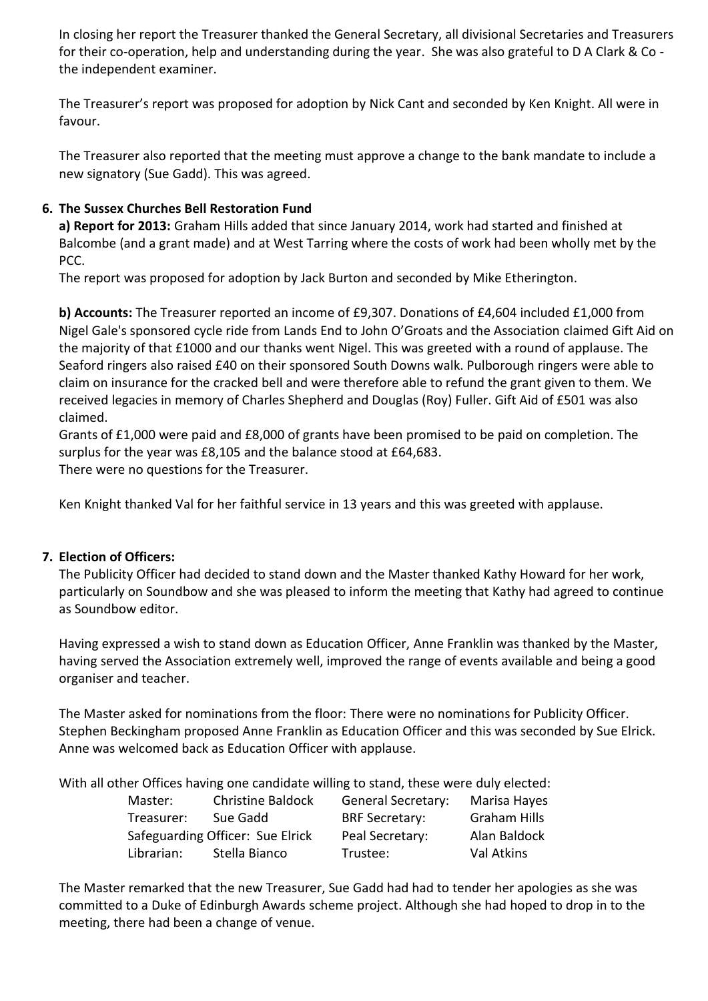In closing her report the Treasurer thanked the General Secretary, all divisional Secretaries and Treasurers for their co-operation, help and understanding during the year. She was also grateful to D A Clark & Co the independent examiner.

The Treasurer's report was proposed for adoption by Nick Cant and seconded by Ken Knight. All were in favour.

The Treasurer also reported that the meeting must approve a change to the bank mandate to include a new signatory (Sue Gadd). This was agreed.

# **6. The Sussex Churches Bell Restoration Fund**

**a) Report for 2013:** Graham Hills added that since January 2014, work had started and finished at Balcombe (and a grant made) and at West Tarring where the costs of work had been wholly met by the PCC.

The report was proposed for adoption by Jack Burton and seconded by Mike Etherington.

**b) Accounts:** The Treasurer reported an income of £9,307. Donations of £4,604 included £1,000 from Nigel Gale's sponsored cycle ride from Lands End to John O'Groats and the Association claimed Gift Aid on the majority of that £1000 and our thanks went Nigel. This was greeted with a round of applause. The Seaford ringers also raised £40 on their sponsored South Downs walk. Pulborough ringers were able to claim on insurance for the cracked bell and were therefore able to refund the grant given to them. We received legacies in memory of Charles Shepherd and Douglas (Roy) Fuller. Gift Aid of £501 was also claimed.

Grants of £1,000 were paid and £8,000 of grants have been promised to be paid on completion. The surplus for the year was £8,105 and the balance stood at £64,683. There were no questions for the Treasurer.

Ken Knight thanked Val for her faithful service in 13 years and this was greeted with applause.

## **7. Election of Officers:**

The Publicity Officer had decided to stand down and the Master thanked Kathy Howard for her work, particularly on Soundbow and she was pleased to inform the meeting that Kathy had agreed to continue as Soundbow editor.

Having expressed a wish to stand down as Education Officer, Anne Franklin was thanked by the Master, having served the Association extremely well, improved the range of events available and being a good organiser and teacher.

The Master asked for nominations from the floor: There were no nominations for Publicity Officer. Stephen Beckingham proposed Anne Franklin as Education Officer and this was seconded by Sue Elrick. Anne was welcomed back as Education Officer with applause.

With all other Offices having one candidate willing to stand, these were duly elected:

| Master:    | <b>Christine Baldock</b>         | <b>General Secretary:</b> | Marisa Hayes        |
|------------|----------------------------------|---------------------------|---------------------|
| Treasurer: | Sue Gadd                         | <b>BRF Secretary:</b>     | <b>Graham Hills</b> |
|            | Safeguarding Officer: Sue Elrick | Peal Secretary:           | Alan Baldock        |
| Librarian: | Stella Bianco                    | Trustee:                  | Val Atkins          |

The Master remarked that the new Treasurer, Sue Gadd had had to tender her apologies as she was committed to a Duke of Edinburgh Awards scheme project. Although she had hoped to drop in to the meeting, there had been a change of venue.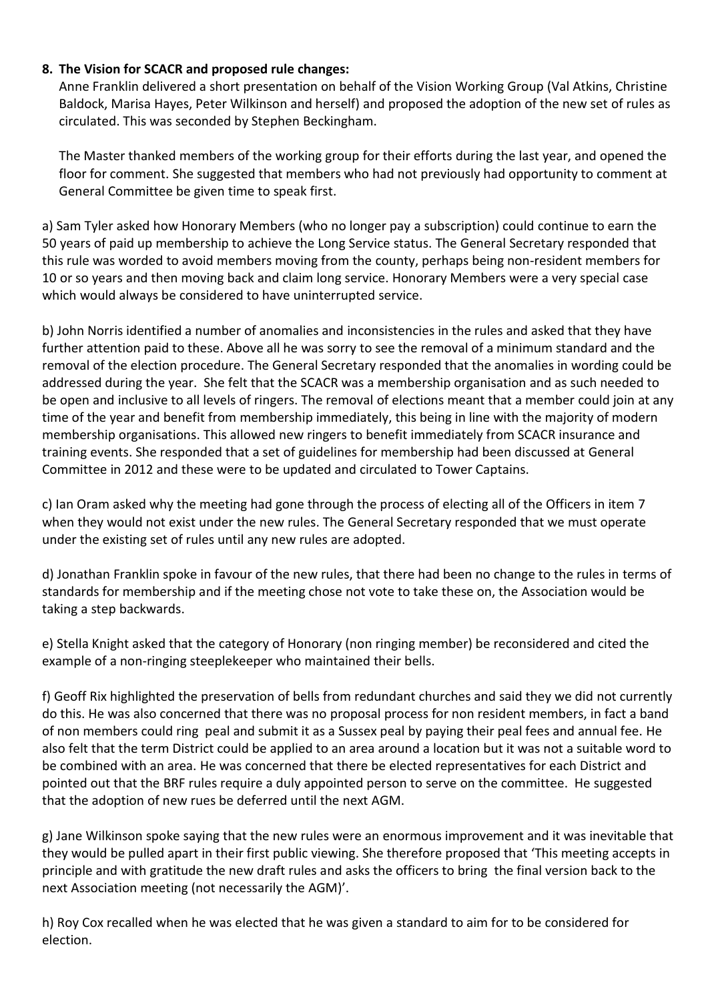## **8. The Vision for SCACR and proposed rule changes:**

Anne Franklin delivered a short presentation on behalf of the Vision Working Group (Val Atkins, Christine Baldock, Marisa Hayes, Peter Wilkinson and herself) and proposed the adoption of the new set of rules as circulated. This was seconded by Stephen Beckingham.

The Master thanked members of the working group for their efforts during the last year, and opened the floor for comment. She suggested that members who had not previously had opportunity to comment at General Committee be given time to speak first.

a) Sam Tyler asked how Honorary Members (who no longer pay a subscription) could continue to earn the 50 years of paid up membership to achieve the Long Service status. The General Secretary responded that this rule was worded to avoid members moving from the county, perhaps being non-resident members for 10 or so years and then moving back and claim long service. Honorary Members were a very special case which would always be considered to have uninterrupted service.

b) John Norris identified a number of anomalies and inconsistencies in the rules and asked that they have further attention paid to these. Above all he was sorry to see the removal of a minimum standard and the removal of the election procedure. The General Secretary responded that the anomalies in wording could be addressed during the year. She felt that the SCACR was a membership organisation and as such needed to be open and inclusive to all levels of ringers. The removal of elections meant that a member could join at any time of the year and benefit from membership immediately, this being in line with the majority of modern membership organisations. This allowed new ringers to benefit immediately from SCACR insurance and training events. She responded that a set of guidelines for membership had been discussed at General Committee in 2012 and these were to be updated and circulated to Tower Captains.

c) Ian Oram asked why the meeting had gone through the process of electing all of the Officers in item 7 when they would not exist under the new rules. The General Secretary responded that we must operate under the existing set of rules until any new rules are adopted.

d) Jonathan Franklin spoke in favour of the new rules, that there had been no change to the rules in terms of standards for membership and if the meeting chose not vote to take these on, the Association would be taking a step backwards.

e) Stella Knight asked that the category of Honorary (non ringing member) be reconsidered and cited the example of a non-ringing steeplekeeper who maintained their bells.

f) Geoff Rix highlighted the preservation of bells from redundant churches and said they we did not currently do this. He was also concerned that there was no proposal process for non resident members, in fact a band of non members could ring peal and submit it as a Sussex peal by paying their peal fees and annual fee. He also felt that the term District could be applied to an area around a location but it was not a suitable word to be combined with an area. He was concerned that there be elected representatives for each District and pointed out that the BRF rules require a duly appointed person to serve on the committee. He suggested that the adoption of new rues be deferred until the next AGM.

g) Jane Wilkinson spoke saying that the new rules were an enormous improvement and it was inevitable that they would be pulled apart in their first public viewing. She therefore proposed that 'This meeting accepts in principle and with gratitude the new draft rules and asks the officers to bring the final version back to the next Association meeting (not necessarily the AGM)'.

h) Roy Cox recalled when he was elected that he was given a standard to aim for to be considered for election.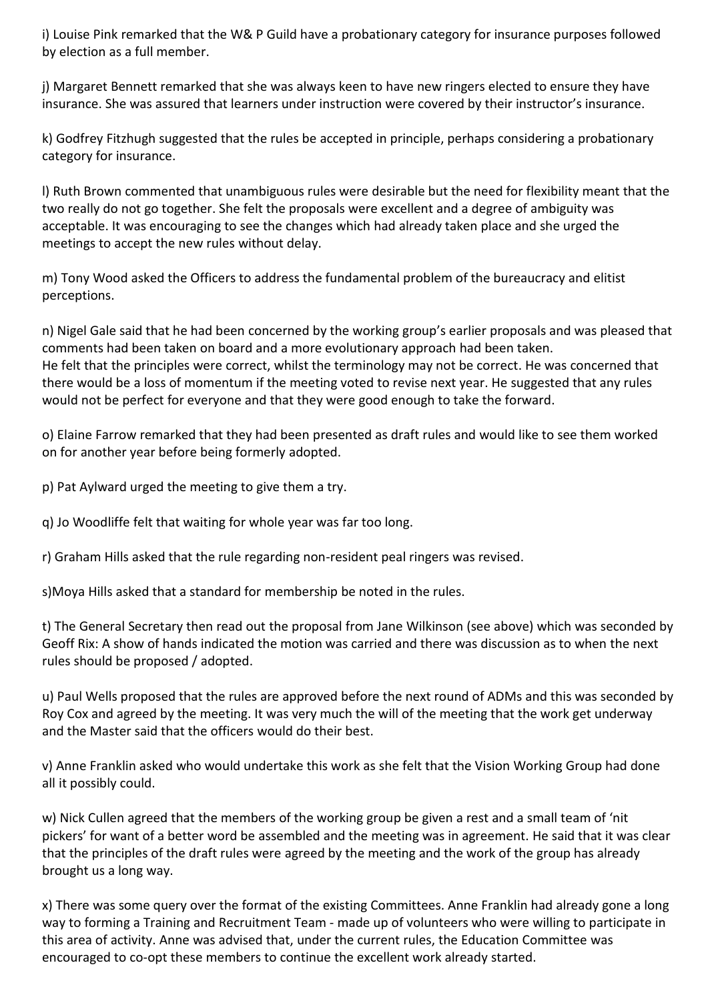i) Louise Pink remarked that the W& P Guild have a probationary category for insurance purposes followed by election as a full member.

j) Margaret Bennett remarked that she was always keen to have new ringers elected to ensure they have insurance. She was assured that learners under instruction were covered by their instructor's insurance.

k) Godfrey Fitzhugh suggested that the rules be accepted in principle, perhaps considering a probationary category for insurance.

l) Ruth Brown commented that unambiguous rules were desirable but the need for flexibility meant that the two really do not go together. She felt the proposals were excellent and a degree of ambiguity was acceptable. It was encouraging to see the changes which had already taken place and she urged the meetings to accept the new rules without delay.

m) Tony Wood asked the Officers to address the fundamental problem of the bureaucracy and elitist perceptions.

n) Nigel Gale said that he had been concerned by the working group's earlier proposals and was pleased that comments had been taken on board and a more evolutionary approach had been taken. He felt that the principles were correct, whilst the terminology may not be correct. He was concerned that there would be a loss of momentum if the meeting voted to revise next year. He suggested that any rules would not be perfect for everyone and that they were good enough to take the forward.

o) Elaine Farrow remarked that they had been presented as draft rules and would like to see them worked on for another year before being formerly adopted.

p) Pat Aylward urged the meeting to give them a try.

q) Jo Woodliffe felt that waiting for whole year was far too long.

r) Graham Hills asked that the rule regarding non-resident peal ringers was revised.

s)Moya Hills asked that a standard for membership be noted in the rules.

t) The General Secretary then read out the proposal from Jane Wilkinson (see above) which was seconded by Geoff Rix: A show of hands indicated the motion was carried and there was discussion as to when the next rules should be proposed / adopted.

u) Paul Wells proposed that the rules are approved before the next round of ADMs and this was seconded by Roy Cox and agreed by the meeting. It was very much the will of the meeting that the work get underway and the Master said that the officers would do their best.

v) Anne Franklin asked who would undertake this work as she felt that the Vision Working Group had done all it possibly could.

w) Nick Cullen agreed that the members of the working group be given a rest and a small team of 'nit pickers' for want of a better word be assembled and the meeting was in agreement. He said that it was clear that the principles of the draft rules were agreed by the meeting and the work of the group has already brought us a long way.

x) There was some query over the format of the existing Committees. Anne Franklin had already gone a long way to forming a Training and Recruitment Team - made up of volunteers who were willing to participate in this area of activity. Anne was advised that, under the current rules, the Education Committee was encouraged to co-opt these members to continue the excellent work already started.